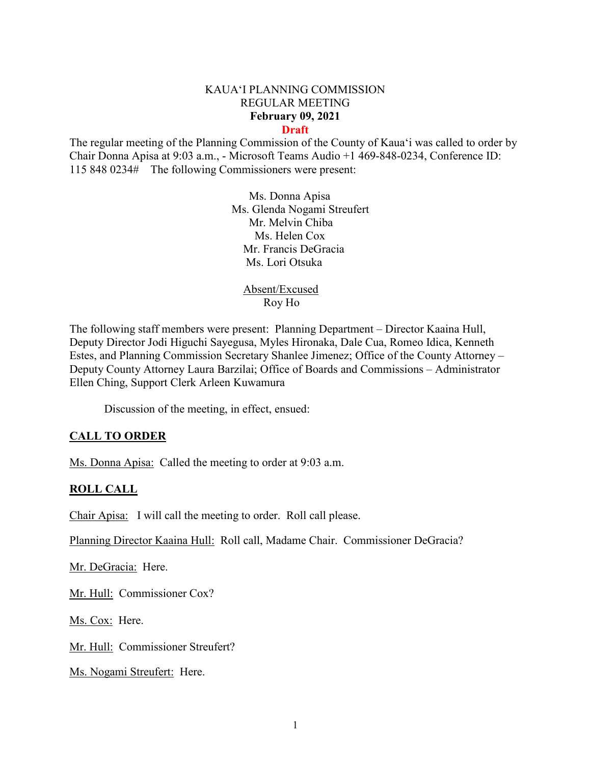#### KAUA'I PLANNING COMMISSION REGULAR MEETING **February 09, 2021 Draft**

The regular meeting of the Planning Commission of the County of Kaua'i was called to order by Chair Donna Apisa at 9:03 a.m., - Microsoft Teams Audio +1 469-848-0234, Conference ID: 115 848 0234# The following Commissioners were present:

> Ms. Donna Apisa Ms. Glenda Nogami Streufert Mr. Melvin Chiba Ms. Helen Cox Mr. Francis DeGracia Ms. Lori Otsuka

Absent/Excused Roy Ho

The following staff members were present: Planning Department – Director Kaaina Hull, Deputy Director Jodi Higuchi Sayegusa, Myles Hironaka, Dale Cua, Romeo Idica, Kenneth Estes, and Planning Commission Secretary Shanlee Jimenez; Office of the County Attorney – Deputy County Attorney Laura Barzilai; Office of Boards and Commissions – Administrator Ellen Ching, Support Clerk Arleen Kuwamura

Discussion of the meeting, in effect, ensued:

### **CALL TO ORDER**

Ms. Donna Apisa: Called the meeting to order at 9:03 a.m.

### **ROLL CALL**

Chair Apisa: I will call the meeting to order. Roll call please.

Planning Director Kaaina Hull: Roll call, Madame Chair. Commissioner DeGracia?

Mr. DeGracia: Here.

Mr. Hull: Commissioner Cox?

Ms. Cox: Here.

Mr. Hull: Commissioner Streufert?

Ms. Nogami Streufert: Here.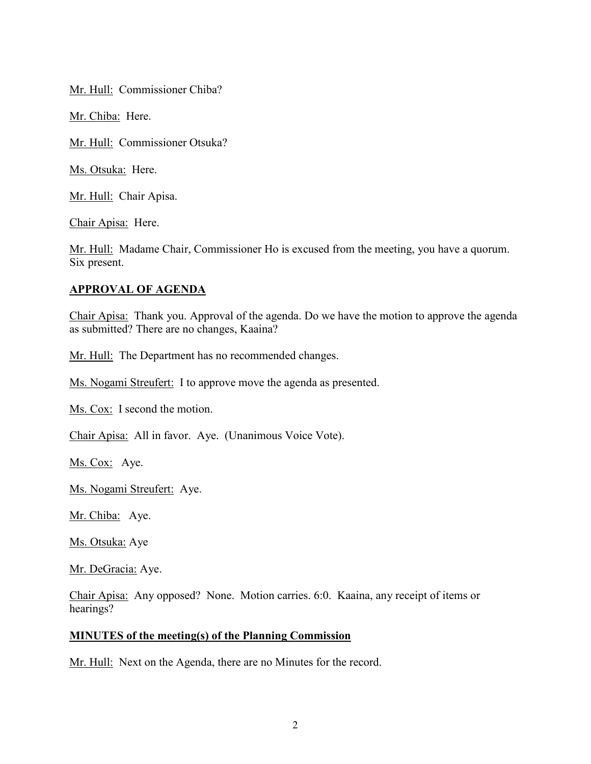Mr. Hull: Commissioner Chiba?

Mr. Chiba: Here.

Mr. Hull: Commissioner Otsuka?

Ms. Otsuka: Here.

Mr. Hull: Chair Apisa.

Chair Apisa: Here.

Mr. Hull: Madame Chair, Commissioner Ho is excused from the meeting, you have a quorum. Six present.

### **APPROVAL OF AGENDA**

Chair Apisa: Thank you. Approval of the agenda. Do we have the motion to approve the agenda as submitted? There are no changes, Kaaina?

Mr. Hull: The Department has no recommended changes.

Ms. Nogami Streufert: I to approve move the agenda as presented.

Ms. Cox: I second the motion.

Chair Apisa: All in favor. Aye. (Unanimous Voice Vote).

Ms. Cox: Aye.

Ms. Nogami Streufert: Aye.

Mr. Chiba: Aye.

Ms. Otsuka: Aye

Mr. DeGracia: Aye.

Chair Apisa: Any opposed? None. Motion carries. 6:0. Kaaina, any receipt of items or hearings?

#### **MINUTES of the meeting(s) of the Planning Commission**

Mr. Hull: Next on the Agenda, there are no Minutes for the record.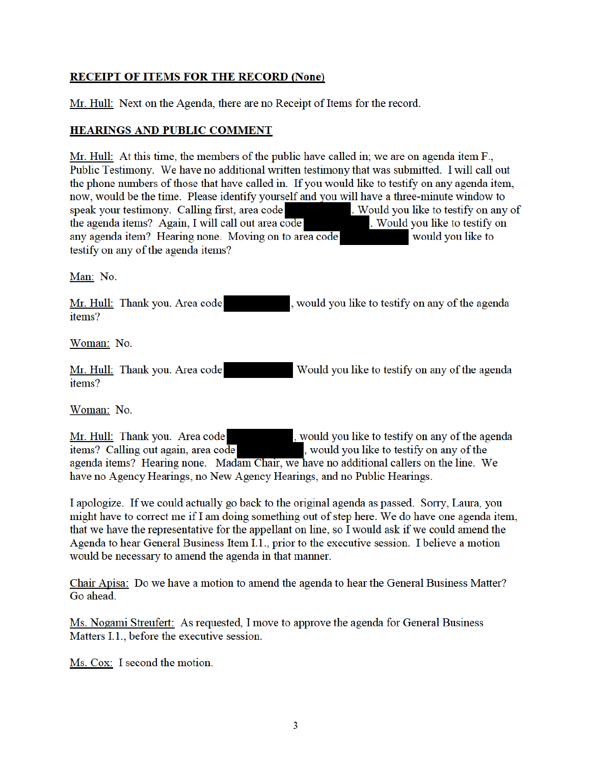# **RECEIPT OF ITEMS FOR THE RECORD (None)**

Mr. Hull: Next on the Agenda, there are no Receipt of Items for the record.

### **HEARINGS AND PUBLIC COMMENT**

Mr. Hull: At this time, the members of the public have called in; we are on agenda item  $F_{\cdot}$ , Public Testimony. We have no additional written testimony that was submitted. I will call out the phone numbers of those that have called in. If you would like to testify on any agenda item, now, would be the time. Please identify yourself and you will have a three-minute window to . Would you like to testify on any of speak your testimony. Calling first, area code the agenda items? Again, I will call out area code . Would you like to testify on any agenda item? Hearing none. Moving on to area code would you like to testify on any of the agenda items?

Man: No.

Mr. Hull: Thank you. Area code , would you like to testify on any of the agenda items?

Woman: No.

Mr. Hull: Thank you. Area code Would you like to testify on any of the agenda items?

Woman: No.

, would you like to testify on any of the agenda Mr. Hull: Thank you. Area code items? Calling out again, area code , would you like to testify on any of the agenda items? Hearing none. Madam Chair, we have no additional callers on the line. We have no Agency Hearings, no New Agency Hearings, and no Public Hearings.

I apologize. If we could actually go back to the original agenda as passed. Sorry, Laura, you might have to correct me if I am doing something out of step here. We do have one agenda item, that we have the representative for the appellant on line, so I would ask if we could amend the Agenda to hear General Business Item I.1., prior to the executive session. I believe a motion would be necessary to amend the agenda in that manner.

Chair Apisa: Do we have a motion to amend the agenda to hear the General Business Matter? Go ahead.

Ms. Nogami Streufert: As requested, I move to approve the agenda for General Business Matters I.1., before the executive session.

Ms. Cox: I second the motion.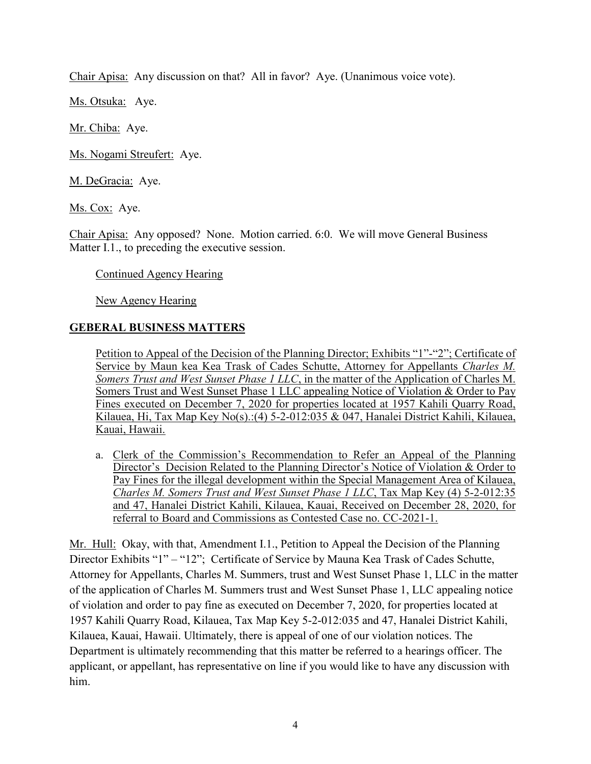Chair Apisa: Any discussion on that? All in favor? Aye. (Unanimous voice vote).

Ms. Otsuka: Aye.

Mr. Chiba: Aye.

Ms. Nogami Streufert: Aye.

M. DeGracia: Aye.

Ms. Cox: Aye.

Chair Apisa: Any opposed? None. Motion carried. 6:0. We will move General Business Matter I.1., to preceding the executive session.

Continued Agency Hearing

New Agency Hearing

# **GEBERAL BUSINESS MATTERS**

Petition to Appeal of the Decision of the Planning Director; Exhibits "1"-"2"; Certificate of Service by Maun kea Kea Trask of Cades Schutte, Attorney for Appellants *Charles M. Somers Trust and West Sunset Phase 1 LLC*, in the matter of the Application of Charles M. Somers Trust and West Sunset Phase 1 LLC appealing Notice of Violation & Order to Pay Fines executed on December 7, 2020 for properties located at 1957 Kahili Quarry Road, Kilauea, Hi, Tax Map Key No(s).:(4) 5-2-012:035 & 047, Hanalei District Kahili, Kilauea, Kauai, Hawaii.

a. Clerk of the Commission's Recommendation to Refer an Appeal of the Planning Director's Decision Related to the Planning Director's Notice of Violation & Order to Pay Fines for the illegal development within the Special Management Area of Kilauea, *Charles M. Somers Trust and West Sunset Phase 1 LLC*, Tax Map Key (4) 5-2-012:35 and 47, Hanalei District Kahili, Kilauea, Kauai, Received on December 28, 2020, for referral to Board and Commissions as Contested Case no. CC-2021-1.

Mr. Hull: Okay, with that, Amendment I.1., Petition to Appeal the Decision of the Planning Director Exhibits "1" – "12"; Certificate of Service by Mauna Kea Trask of Cades Schutte, Attorney for Appellants, Charles M. Summers, trust and West Sunset Phase 1, LLC in the matter of the application of Charles M. Summers trust and West Sunset Phase 1, LLC appealing notice of violation and order to pay fine as executed on December 7, 2020, for properties located at 1957 Kahili Quarry Road, Kilauea, Tax Map Key 5-2-012:035 and 47, Hanalei District Kahili, Kilauea, Kauai, Hawaii. Ultimately, there is appeal of one of our violation notices. The Department is ultimately recommending that this matter be referred to a hearings officer. The applicant, or appellant, has representative on line if you would like to have any discussion with him.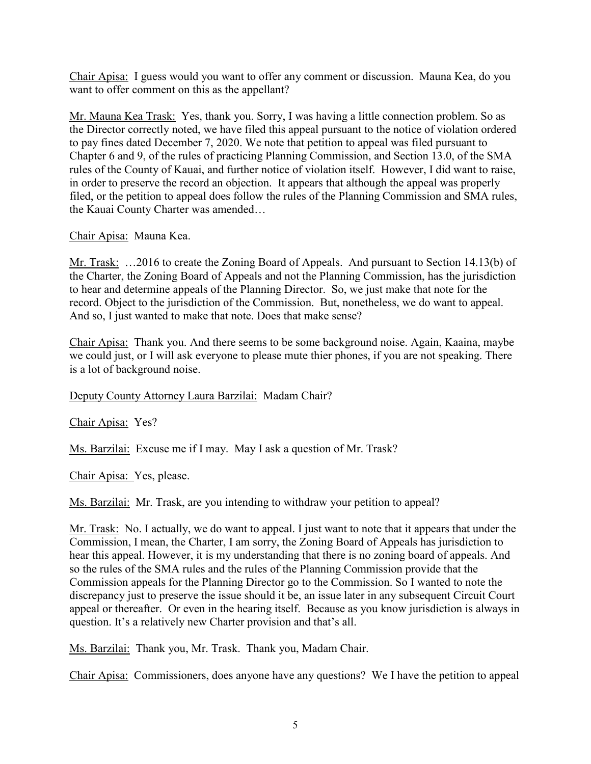Chair Apisa: I guess would you want to offer any comment or discussion. Mauna Kea, do you want to offer comment on this as the appellant?

Mr. Mauna Kea Trask: Yes, thank you. Sorry, I was having a little connection problem. So as the Director correctly noted, we have filed this appeal pursuant to the notice of violation ordered to pay fines dated December 7, 2020. We note that petition to appeal was filed pursuant to Chapter 6 and 9, of the rules of practicing Planning Commission, and Section 13.0, of the SMA rules of the County of Kauai, and further notice of violation itself. However, I did want to raise, in order to preserve the record an objection. It appears that although the appeal was properly filed, or the petition to appeal does follow the rules of the Planning Commission and SMA rules, the Kauai County Charter was amended…

### Chair Apisa: Mauna Kea.

Mr. Trask: …2016 to create the Zoning Board of Appeals. And pursuant to Section 14.13(b) of the Charter, the Zoning Board of Appeals and not the Planning Commission, has the jurisdiction to hear and determine appeals of the Planning Director. So, we just make that note for the record. Object to the jurisdiction of the Commission. But, nonetheless, we do want to appeal. And so, I just wanted to make that note. Does that make sense?

Chair Apisa: Thank you. And there seems to be some background noise. Again, Kaaina, maybe we could just, or I will ask everyone to please mute thier phones, if you are not speaking. There is a lot of background noise.

# Deputy County Attorney Laura Barzilai: Madam Chair?

Chair Apisa: Yes?

Ms. Barzilai: Excuse me if I may. May I ask a question of Mr. Trask?

Chair Apisa: Yes, please.

Ms. Barzilai: Mr. Trask, are you intending to withdraw your petition to appeal?

Mr. Trask: No. I actually, we do want to appeal. I just want to note that it appears that under the Commission, I mean, the Charter, I am sorry, the Zoning Board of Appeals has jurisdiction to hear this appeal. However, it is my understanding that there is no zoning board of appeals. And so the rules of the SMA rules and the rules of the Planning Commission provide that the Commission appeals for the Planning Director go to the Commission. So I wanted to note the discrepancy just to preserve the issue should it be, an issue later in any subsequent Circuit Court appeal or thereafter. Or even in the hearing itself. Because as you know jurisdiction is always in question. It's a relatively new Charter provision and that's all.

Ms. Barzilai: Thank you, Mr. Trask. Thank you, Madam Chair.

Chair Apisa: Commissioners, does anyone have any questions? We I have the petition to appeal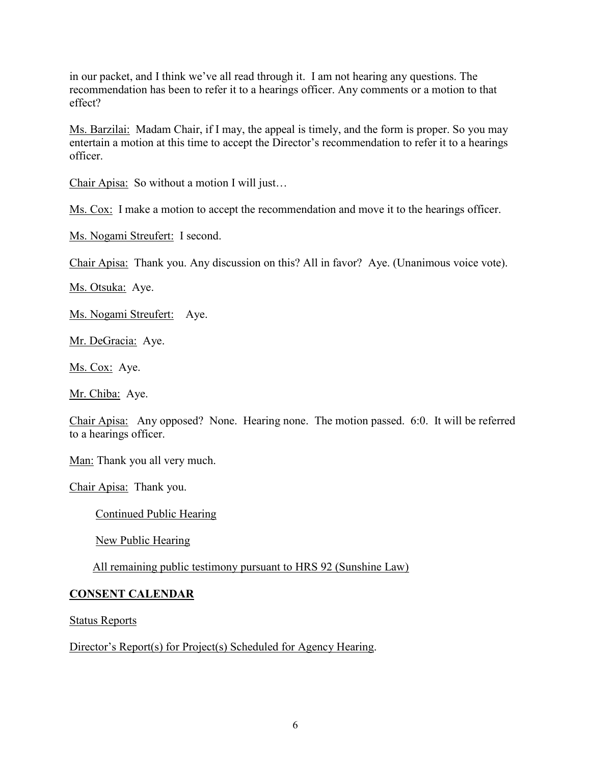in our packet, and I think we've all read through it. I am not hearing any questions. The recommendation has been to refer it to a hearings officer. Any comments or a motion to that effect?

Ms. Barzilai: Madam Chair, if I may, the appeal is timely, and the form is proper. So you may entertain a motion at this time to accept the Director's recommendation to refer it to a hearings officer.

Chair Apisa: So without a motion I will just…

Ms. Cox: I make a motion to accept the recommendation and move it to the hearings officer.

Ms. Nogami Streufert: I second.

Chair Apisa: Thank you. Any discussion on this? All in favor? Aye. (Unanimous voice vote).

Ms. Otsuka: Aye.

Ms. Nogami Streufert: Aye.

Mr. DeGracia: Aye.

Ms. Cox: Aye.

Mr. Chiba: Aye.

Chair Apisa: Any opposed? None. Hearing none. The motion passed. 6:0. It will be referred to a hearings officer.

Man: Thank you all very much.

Chair Apisa: Thank you.

Continued Public Hearing

New Public Hearing

All remaining public testimony pursuant to HRS 92 (Sunshine Law)

### **CONSENT CALENDAR**

Status Reports

Director's Report(s) for Project(s) Scheduled for Agency Hearing.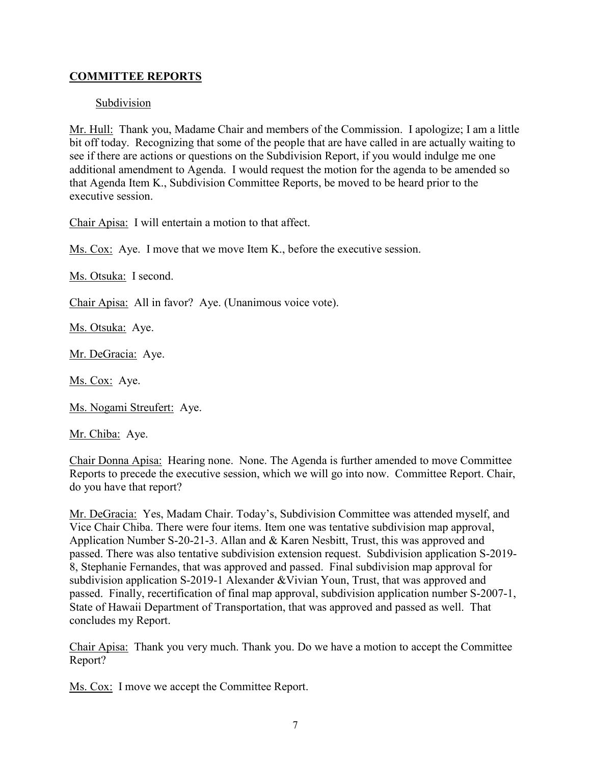# **COMMITTEE REPORTS**

### Subdivision

Mr. Hull: Thank you, Madame Chair and members of the Commission. I apologize; I am a little bit off today. Recognizing that some of the people that are have called in are actually waiting to see if there are actions or questions on the Subdivision Report, if you would indulge me one additional amendment to Agenda. I would request the motion for the agenda to be amended so that Agenda Item K., Subdivision Committee Reports, be moved to be heard prior to the executive session.

Chair Apisa: I will entertain a motion to that affect.

Ms. Cox: Aye. I move that we move Item K., before the executive session.

Ms. Otsuka: I second.

Chair Apisa: All in favor? Aye. (Unanimous voice vote).

Ms. Otsuka: Aye.

Mr. DeGracia: Aye.

Ms. Cox: Aye.

Ms. Nogami Streufert: Aye.

Mr. Chiba: Aye.

Chair Donna Apisa: Hearing none. None. The Agenda is further amended to move Committee Reports to precede the executive session, which we will go into now. Committee Report. Chair, do you have that report?

Mr. DeGracia: Yes, Madam Chair. Today's, Subdivision Committee was attended myself, and Vice Chair Chiba. There were four items. Item one was tentative subdivision map approval, Application Number S-20-21-3. Allan and & Karen Nesbitt, Trust, this was approved and passed. There was also tentative subdivision extension request. Subdivision application S-2019- 8, Stephanie Fernandes, that was approved and passed. Final subdivision map approval for subdivision application S-2019-1 Alexander &Vivian Youn, Trust, that was approved and passed. Finally, recertification of final map approval, subdivision application number S-2007-1, State of Hawaii Department of Transportation, that was approved and passed as well. That concludes my Report.

Chair Apisa: Thank you very much. Thank you. Do we have a motion to accept the Committee Report?

Ms. Cox: I move we accept the Committee Report.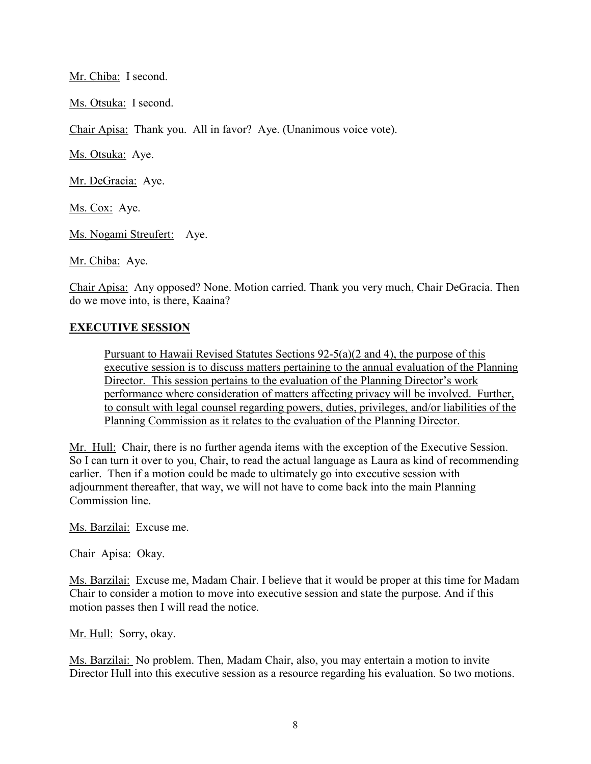Mr. Chiba: I second.

Ms. Otsuka: I second.

Chair Apisa: Thank you. All in favor? Aye. (Unanimous voice vote).

Ms. Otsuka: Aye.

Mr. DeGracia: Aye.

Ms. Cox: Aye.

Ms. Nogami Streufert: Aye.

Mr. Chiba: Aye.

Chair Apisa: Any opposed? None. Motion carried. Thank you very much, Chair DeGracia. Then do we move into, is there, Kaaina?

# **EXECUTIVE SESSION**

Pursuant to Hawaii Revised Statutes Sections 92-5(a)(2 and 4), the purpose of this executive session is to discuss matters pertaining to the annual evaluation of the Planning Director. This session pertains to the evaluation of the Planning Director's work performance where consideration of matters affecting privacy will be involved. Further, to consult with legal counsel regarding powers, duties, privileges, and/or liabilities of the Planning Commission as it relates to the evaluation of the Planning Director.

Mr. Hull: Chair, there is no further agenda items with the exception of the Executive Session. So I can turn it over to you, Chair, to read the actual language as Laura as kind of recommending earlier. Then if a motion could be made to ultimately go into executive session with adjournment thereafter, that way, we will not have to come back into the main Planning Commission line.

Ms. Barzilai: Excuse me.

Chair Apisa: Okay.

Ms. Barzilai: Excuse me, Madam Chair. I believe that it would be proper at this time for Madam Chair to consider a motion to move into executive session and state the purpose. And if this motion passes then I will read the notice.

Mr. Hull: Sorry, okay.

Ms. Barzilai: No problem. Then, Madam Chair, also, you may entertain a motion to invite Director Hull into this executive session as a resource regarding his evaluation. So two motions.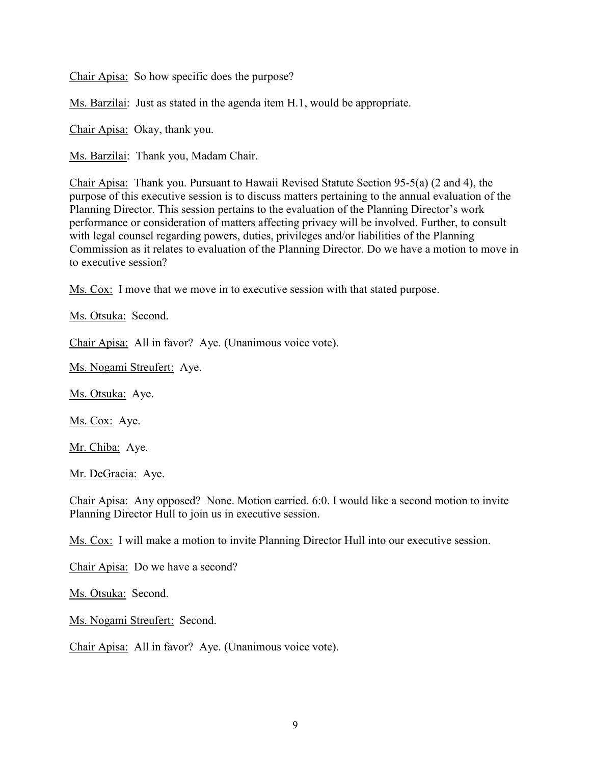Chair Apisa: So how specific does the purpose?

Ms. Barzilai: Just as stated in the agenda item H.1, would be appropriate.

Chair Apisa: Okay, thank you.

Ms. Barzilai: Thank you, Madam Chair.

Chair Apisa: Thank you. Pursuant to Hawaii Revised Statute Section 95-5(a) (2 and 4), the purpose of this executive session is to discuss matters pertaining to the annual evaluation of the Planning Director. This session pertains to the evaluation of the Planning Director's work performance or consideration of matters affecting privacy will be involved. Further, to consult with legal counsel regarding powers, duties, privileges and/or liabilities of the Planning Commission as it relates to evaluation of the Planning Director. Do we have a motion to move in to executive session?

Ms. Cox: I move that we move in to executive session with that stated purpose.

Ms. Otsuka: Second.

Chair Apisa: All in favor? Aye. (Unanimous voice vote).

Ms. Nogami Streufert: Aye.

Ms. Otsuka: Aye.

Ms. Cox: Aye.

Mr. Chiba: Aye.

Mr. DeGracia: Aye.

Chair Apisa: Any opposed? None. Motion carried. 6:0. I would like a second motion to invite Planning Director Hull to join us in executive session.

Ms. Cox: I will make a motion to invite Planning Director Hull into our executive session.

Chair Apisa: Do we have a second?

Ms. Otsuka: Second.

Ms. Nogami Streufert: Second.

Chair Apisa: All in favor? Aye. (Unanimous voice vote).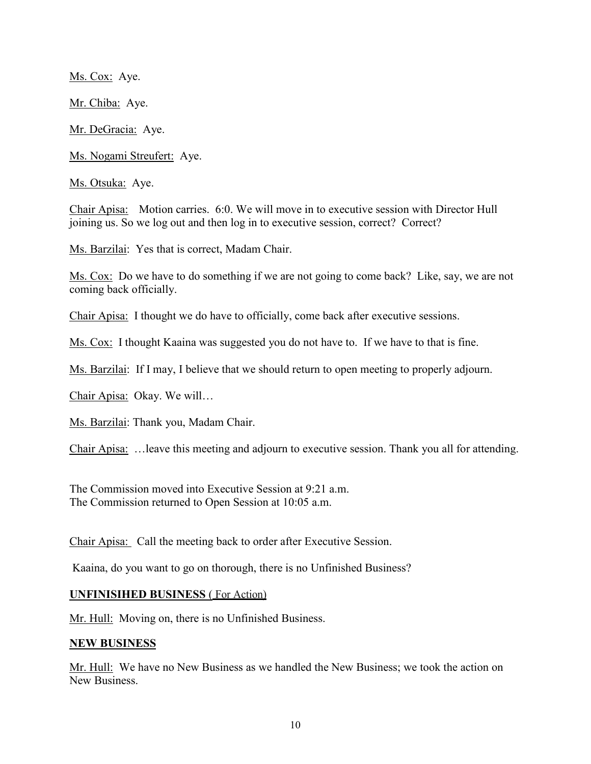Ms. Cox: Aye.

Mr. Chiba: Aye.

Mr. DeGracia: Aye.

Ms. Nogami Streufert: Aye.

Ms. Otsuka: Aye.

Chair Apisa: Motion carries. 6:0. We will move in to executive session with Director Hull joining us. So we log out and then log in to executive session, correct? Correct?

Ms. Barzilai: Yes that is correct, Madam Chair.

Ms. Cox: Do we have to do something if we are not going to come back? Like, say, we are not coming back officially.

Chair Apisa: I thought we do have to officially, come back after executive sessions.

Ms. Cox: I thought Kaaina was suggested you do not have to. If we have to that is fine.

Ms. Barzilai: If I may, I believe that we should return to open meeting to properly adjourn.

Chair Apisa: Okay. We will…

Ms. Barzilai: Thank you, Madam Chair.

Chair Apisa: …leave this meeting and adjourn to executive session. Thank you all for attending.

The Commission moved into Executive Session at 9:21 a.m. The Commission returned to Open Session at 10:05 a.m.

Chair Apisa: Call the meeting back to order after Executive Session.

Kaaina, do you want to go on thorough, there is no Unfinished Business?

### **UNFINISIHED BUSINESS** ( For Action)

Mr. Hull: Moving on, there is no Unfinished Business.

### **NEW BUSINESS**

Mr. Hull: We have no New Business as we handled the New Business; we took the action on New Business.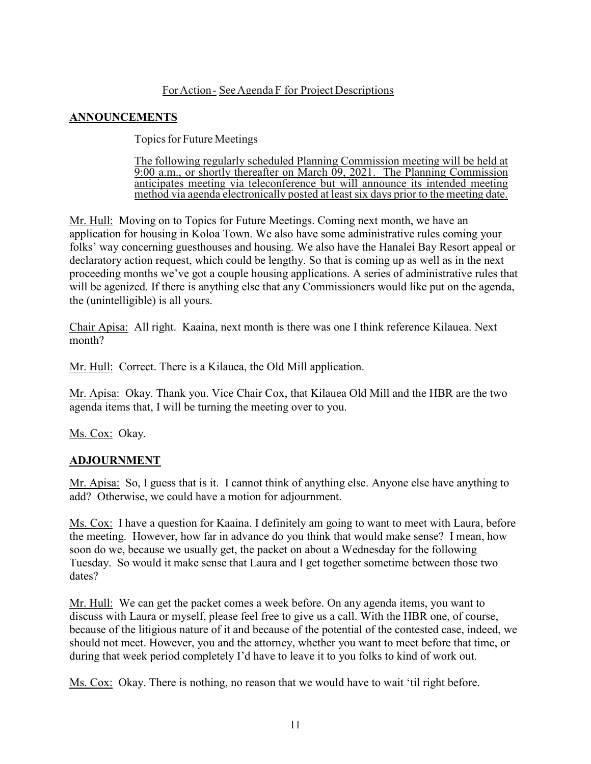### ForAction - See Agenda F for Project Descriptions

# **ANNOUNCEMENTS**

Topics for Future Meetings

The following regularly scheduled Planning Commission meeting will be held at 9:00 a.m., or shortly thereafter on March 09, 2021. The Planning Commission anticipates meeting via teleconference but will announce its intended meeting method via agenda electronically posted at least six days prior to the meeting date.

Mr. Hull: Moving on to Topics for Future Meetings. Coming next month, we have an application for housing in Koloa Town. We also have some administrative rules coming your folks' way concerning guesthouses and housing. We also have the Hanalei Bay Resort appeal or declaratory action request, which could be lengthy. So that is coming up as well as in the next proceeding months we've got a couple housing applications. A series of administrative rules that will be agenized. If there is anything else that any Commissioners would like put on the agenda, the (unintelligible) is all yours.

Chair Apisa: All right. Kaaina, next month is there was one I think reference Kilauea. Next month?

Mr. Hull: Correct. There is a Kilauea, the Old Mill application.

Mr. Apisa: Okay. Thank you. Vice Chair Cox, that Kilauea Old Mill and the HBR are the two agenda items that, I will be turning the meeting over to you.

Ms. Cox: Okay.

# **ADJOURNMENT**

Mr. Apisa: So, I guess that is it. I cannot think of anything else. Anyone else have anything to add? Otherwise, we could have a motion for adjournment.

Ms. Cox: I have a question for Kaaina. I definitely am going to want to meet with Laura, before the meeting. However, how far in advance do you think that would make sense? I mean, how soon do we, because we usually get, the packet on about a Wednesday for the following Tuesday. So would it make sense that Laura and I get together sometime between those two dates?

Mr. Hull: We can get the packet comes a week before. On any agenda items, you want to discuss with Laura or myself, please feel free to give us a call. With the HBR one, of course, because of the litigious nature of it and because of the potential of the contested case, indeed, we should not meet. However, you and the attorney, whether you want to meet before that time, or during that week period completely I'd have to leave it to you folks to kind of work out.

Ms. Cox: Okay. There is nothing, no reason that we would have to wait 'til right before.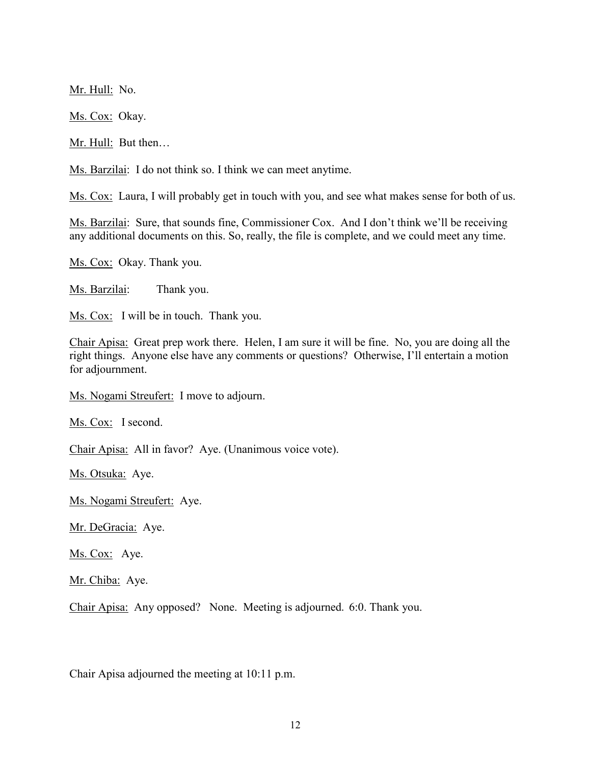Mr. Hull: No.

Ms. Cox: Okay.

Mr. Hull: But then...

Ms. Barzilai: I do not think so. I think we can meet anytime.

Ms. Cox: Laura, I will probably get in touch with you, and see what makes sense for both of us.

Ms. Barzilai: Sure, that sounds fine, Commissioner Cox. And I don't think we'll be receiving any additional documents on this. So, really, the file is complete, and we could meet any time.

Ms. Cox: Okay. Thank you.

Ms. Barzilai: Thank you.

Ms. Cox: I will be in touch. Thank you.

Chair Apisa: Great prep work there. Helen, I am sure it will be fine. No, you are doing all the right things. Anyone else have any comments or questions? Otherwise, I'll entertain a motion for adjournment.

Ms. Nogami Streufert: I move to adjourn.

Ms. Cox: I second.

Chair Apisa: All in favor? Aye. (Unanimous voice vote).

Ms. Otsuka: Aye.

Ms. Nogami Streufert: Aye.

Mr. DeGracia: Aye.

Ms. Cox: Aye.

Mr. Chiba: Aye.

Chair Apisa: Any opposed? None. Meeting is adjourned. 6:0. Thank you.

Chair Apisa adjourned the meeting at 10:11 p.m.